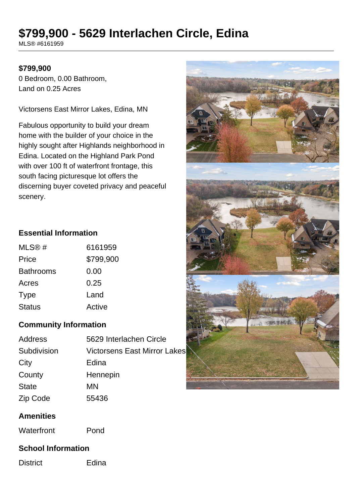# **\$799,900 - 5629 Interlachen Circle, Edina**

MLS® #6161959

#### **\$799,900**

0 Bedroom, 0.00 Bathroom, Land on 0.25 Acres

Victorsens East Mirror Lakes, Edina, MN

Fabulous opportunity to build your dream home with the builder of your choice in the highly sought after Highlands neighborhood in Edina. Located on the Highland Park Pond with over 100 ft of waterfront frontage, this south facing picturesque lot offers the discerning buyer coveted privacy and peaceful scenery.

# **Essential Information**

| MLS@#         | 6161959   |
|---------------|-----------|
| Price         | \$799,900 |
| Bathrooms     | 0.00      |
| Acres         | 0.25      |
| Type          | Land      |
| <b>Status</b> | Active    |

# **Community Information**

| Address      | 5629 Interlachen Circle             |
|--------------|-------------------------------------|
| Subdivision  | <b>Victorsens East Mirror Lakes</b> |
| City         | Edina                               |
| County       | Hennepin                            |
| <b>State</b> | ΜN                                  |
| Zip Code     | 55436                               |

#### **Amenities**

Waterfront Pond

#### **School Information**

District **Edina**